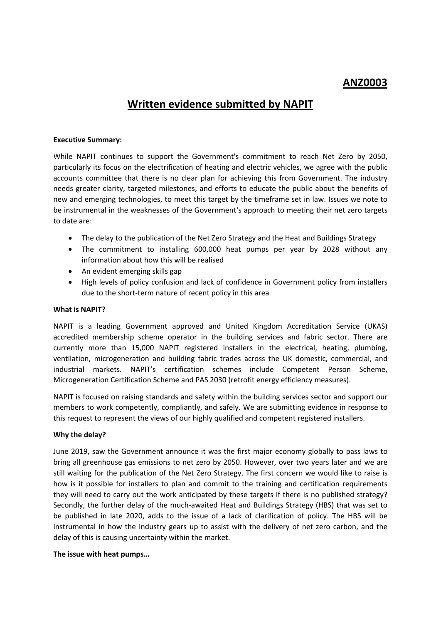# **ANZ0003**

# **Written evidence submitted by NAPIT**

#### **Executive Summary:**

While NAPIT continues to support the Government's commitment to reach Net Zero by 2050, particularly its focus on the electrification of heating and electric vehicles, we agree with the public accounts committee that there is no clear plan for achieving this from Government. The industry needs greater clarity, targeted milestones, and efforts to educate the public about the benefits of new and emerging technologies, to meet this target by the timeframe set in law. Issues we note to be instrumental in the weaknesses of the Government's approach to meeting their net zero targets to date are:

- The delay to the publication of the Net Zero Strategy and the Heat and Buildings Strategy
- The commitment to installing 600,000 heat pumps per year by 2028 without any information about how this will be realised
- An evident emerging skills gap
- High levels of policy confusion and lack of confidence in Government policy from installers due to the short-term nature of recent policy in this area

#### **What is NAPIT?**

NAPIT is a leading Government approved and United Kingdom Accreditation Service (UKAS) accredited membership scheme operator in the building services and fabric sector. There are currently more than 15,000 NAPIT registered installers in the electrical, heating, plumbing, ventilation, microgeneration and building fabric trades across the UK domestic, commercial, and industrial markets. NAPIT's certification schemes include Competent Person Scheme, Microgeneration Certification Scheme and PAS 2030 (retrofit energy efficiency measures).

NAPIT is focused on raising standards and safety within the building services sector and support our members to work competently, compliantly, and safely. We are submitting evidence in response to this request to represent the views of our highly qualified and competent registered installers.

#### **Why the delay?**

June 2019, saw the Government announce it was the first major economy globally to pass laws to bring all greenhouse gas emissions to net zero by 2050. However, over two years later and we are still waiting for the publication of the Net Zero Strategy. The first concern we would like to raise is how is it possible for installers to plan and commit to the training and certification requirements they will need to carry out the work anticipated by these targets if there is no published strategy? Secondly, the further delay of the much-awaited Heat and Buildings Strategy (HBS) that was set to be published in late 2020, adds to the issue of a lack of clarification of policy. The HBS will be instrumental in how the industry gears up to assist with the delivery of net zero carbon, and the delay of this is causing uncertainty within the market.

#### **The issue with heat pumps…**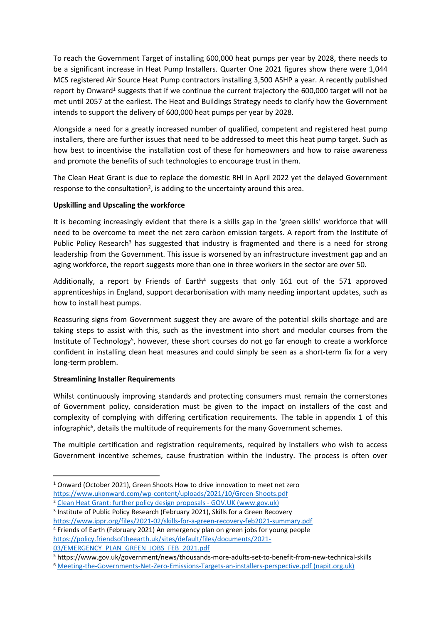To reach the Government Target of installing 600,000 heat pumps per year by 2028, there needs to be a significant increase in Heat Pump Installers. Quarter One 2021 figures show there were 1,044 MCS registered Air Source Heat Pump contractors installing 3,500 ASHP a year. A recently published report by Onward<sup>1</sup> suggests that if we continue the current trajectory the 600,000 target will not be met until 2057 at the earliest. The Heat and Buildings Strategy needs to clarify how the Government intends to support the delivery of 600,000 heat pumps per year by 2028.

Alongside a need for a greatly increased number of qualified, competent and registered heat pump installers, there are further issues that need to be addressed to meet this heat pump target. Such as how best to incentivise the installation cost of these for homeowners and how to raise awareness and promote the benefits of such technologies to encourage trust in them.

The Clean Heat Grant is due to replace the domestic RHI in April 2022 yet the delayed Government response to the consultation<sup>2</sup>, is adding to the uncertainty around this area.

### **Upskilling and Upscaling the workforce**

It is becoming increasingly evident that there is a skills gap in the 'green skills' workforce that will need to be overcome to meet the net zero carbon emission targets. A report from the Institute of Public Policy Research<sup>3</sup> has suggested that industry is fragmented and there is a need for strong leadership from the Government. This issue is worsened by an infrastructure investment gap and an aging workforce, the report suggests more than one in three workers in the sector are over 50.

Additionally, a report by Friends of Earth<sup>4</sup> suggests that only 161 out of the 571 approved apprenticeships in England, support decarbonisation with many needing important updates, such as how to install heat pumps.

Reassuring signs from Government suggest they are aware of the potential skills shortage and are taking steps to assist with this, such as the investment into short and modular courses from the Institute of Technology<sup>5</sup>, however, these short courses do not go far enough to create a workforce confident in installing clean heat measures and could simply be seen as a short-term fix for a very long-term problem.

#### **Streamlining Installer Requirements**

Whilst continuously improving standards and protecting consumers must remain the cornerstones of Government policy, consideration must be given to the impact on installers of the cost and complexity of complying with differing certification requirements. The table in appendix 1 of this infographic<sup>6</sup>, details the multitude of requirements for the many Government schemes.

The multiple certification and registration requirements, required by installers who wish to access Government incentive schemes, cause frustration within the industry. The process is often over

<sup>1</sup> Onward (October 2021), Green Shoots How to drive innovation to meet net zero <https://www.ukonward.com/wp-content/uploads/2021/10/Green-Shoots.pdf>

<sup>&</sup>lt;sup>2</sup> [Clean](https://www.gov.uk/government/consultations/clean-heat-grant-further-policy-design-proposals) [Heat](https://www.gov.uk/government/consultations/clean-heat-grant-further-policy-design-proposals) [Grant:](https://www.gov.uk/government/consultations/clean-heat-grant-further-policy-design-proposals) [further](https://www.gov.uk/government/consultations/clean-heat-grant-further-policy-design-proposals) [policy](https://www.gov.uk/government/consultations/clean-heat-grant-further-policy-design-proposals) [design](https://www.gov.uk/government/consultations/clean-heat-grant-further-policy-design-proposals) [proposals](https://www.gov.uk/government/consultations/clean-heat-grant-further-policy-design-proposals) [-](https://www.gov.uk/government/consultations/clean-heat-grant-further-policy-design-proposals) [GOV.UK](https://www.gov.uk/government/consultations/clean-heat-grant-further-policy-design-proposals) [\(www.gov.uk\)](https://www.gov.uk/government/consultations/clean-heat-grant-further-policy-design-proposals)

<sup>&</sup>lt;sup>3</sup> Institute of Public Policy Research (February 2021), Skills for a Green Recovery <https://www.ippr.org/files/2021-02/skills-for-a-green-recovery-feb2021-summary.pdf>

<sup>4</sup> Friends of Earth (February 2021) An emergency plan on green jobs for young people [https://policy.friendsoftheearth.uk/sites/default/files/documents/2021-](https://policy.friendsoftheearth.uk/sites/default/files/documents/2021-03/EMERGENCY_PLAN_GREEN_JOBS_FEB_2021.pdf) [03/EMERGENCY\\_PLAN\\_GREEN\\_JOBS\\_FEB\\_2021.pdf](https://policy.friendsoftheearth.uk/sites/default/files/documents/2021-03/EMERGENCY_PLAN_GREEN_JOBS_FEB_2021.pdf)

<sup>5</sup> https://www.gov.uk/government/news/thousands-more-adults-set-to-benefit-from-new-technical-skills

<sup>6</sup> [Meeting-the-Governments-Net-Zero-Emissions-Targets-an-installers-perspective.pdf](https://www.napit.org.uk/downloads/Meeting-the-Governments-Net-Zero-Emissions-Targets-an-installers-perspective.pdf) [\(napit.org.uk\)](https://www.napit.org.uk/downloads/Meeting-the-Governments-Net-Zero-Emissions-Targets-an-installers-perspective.pdf)